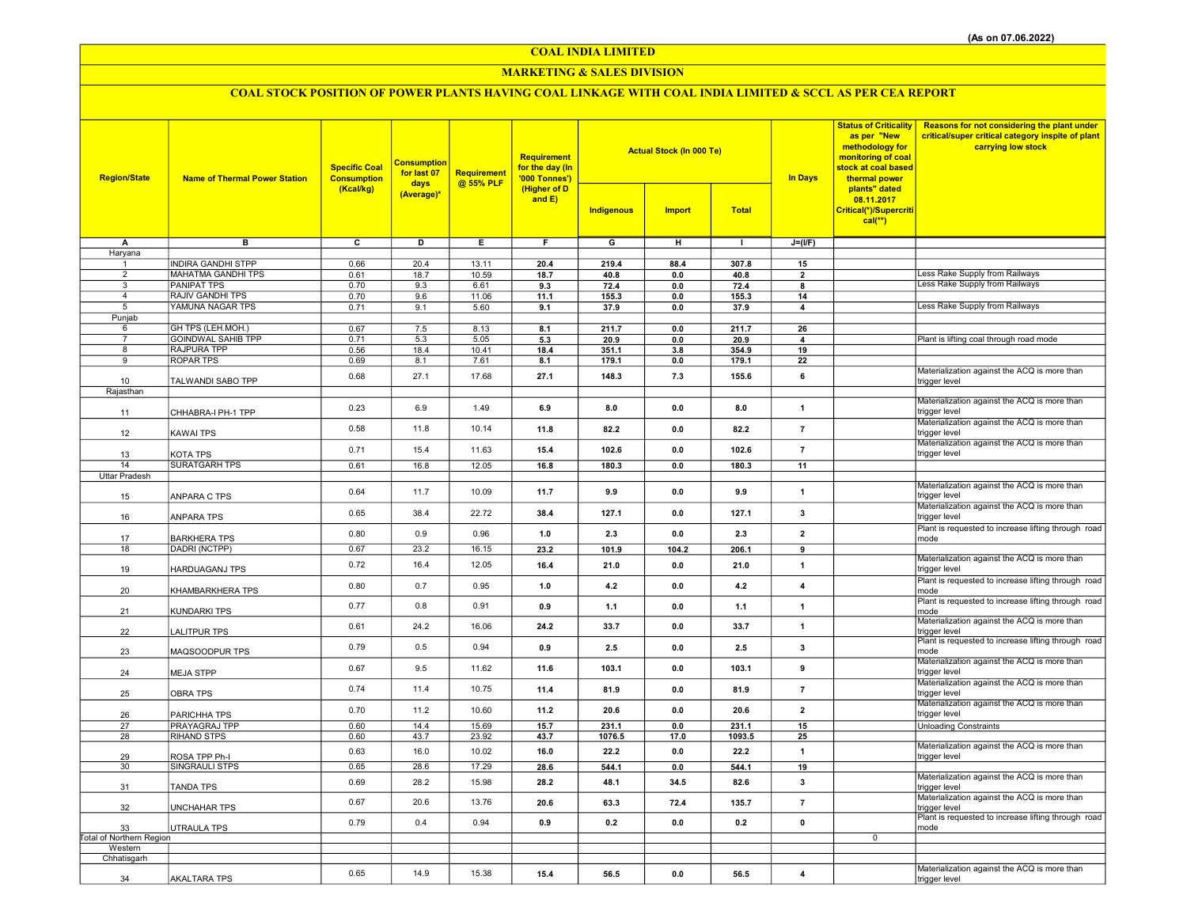COAL INDIA LIMITED

### MARKETING & SALES DIVISION

# COAL STOCK POSITION OF POWER PLANTS HAVING COAL LINKAGE WITH COAL INDIA LIMITED & SCCL AS PER CEA REPORT

| <b>Region/State</b>      | <b>Name of Thermal Power Station</b> | <b>Specific Coal</b><br><b>Consumption</b><br>(Kcal/kg) | <b>Consumption</b><br>for last 07<br>days<br>(Average)* | Requirement<br>@ 55% PLF | <b>Requirement</b><br>for the day (In<br>'000 Tonnes')<br>(Higher of D<br>and E) |                         | <b>Actual Stock (In 000 Te)</b> |              | <b>In Days</b>          | <b>Status of Criticality</b><br>as per "New<br>methodology for<br>monitoring of coal<br>stock at coal based<br>thermal power<br>plants" dated<br>08.11.2017<br>Critical(*)/Supercriti<br>$cal$ (**) | <b>Reasons for not considering the plant under</b><br>critical/super critical category inspite of plant<br>carrying low stock |
|--------------------------|--------------------------------------|---------------------------------------------------------|---------------------------------------------------------|--------------------------|----------------------------------------------------------------------------------|-------------------------|---------------------------------|--------------|-------------------------|-----------------------------------------------------------------------------------------------------------------------------------------------------------------------------------------------------|-------------------------------------------------------------------------------------------------------------------------------|
|                          |                                      |                                                         |                                                         |                          |                                                                                  | Indigenous              | <b>Import</b>                   | <b>Total</b> |                         |                                                                                                                                                                                                     |                                                                                                                               |
| А                        | $\overline{\mathbf{B}}$              | $\overline{\mathbf{c}}$                                 | ъ                                                       | Έ                        | F                                                                                | $\overline{\mathsf{G}}$ | $\overline{H}$                  | $\mathbf{I}$ | $J=(I/F)$               |                                                                                                                                                                                                     |                                                                                                                               |
| Haryana                  | <b>INDIRA GANDHI STPP</b>            | 0.66                                                    | 20.4                                                    | 13.11                    | 20.4                                                                             | 219.4                   | 88.4                            | 307.8        | 15                      |                                                                                                                                                                                                     |                                                                                                                               |
| $\overline{2}$           | <b>MAHATMA GANDHI TPS</b>            | 0.61                                                    | 18.7                                                    | 10.59                    | 18.7                                                                             | 40.8                    | 0.0                             | 40.8         | $\overline{2}$          |                                                                                                                                                                                                     | Less Rake Supply from Railways                                                                                                |
| 3                        | <b>PANIPAT TPS</b>                   | 0.70                                                    | 9.3                                                     | 6.61                     | 9.3                                                                              | 72.4                    | 0.0                             | 72.4         | 8                       |                                                                                                                                                                                                     | Less Rake Supply from Railways                                                                                                |
| $\overline{4}$           | <b>RAJIV GANDHI TPS</b>              | 0.70                                                    | 9.6                                                     | 11.06                    | 11.1                                                                             | 155.3                   | 0.0                             | 155.3        | 14                      |                                                                                                                                                                                                     |                                                                                                                               |
| 5                        | YAMUNA NAGAR TPS                     | 0.71                                                    | 9.1                                                     | 5.60                     | 9.1                                                                              | 37.9                    | 0.0                             | 37.9         | 4                       |                                                                                                                                                                                                     | Less Rake Supply from Railways                                                                                                |
| Punjab<br>6              | GH TPS (LEH.MOH.)                    | 0.67                                                    | 7.5                                                     | 8.13                     | 8.1                                                                              | 211.7                   | 0.0                             | 211.7        | 26                      |                                                                                                                                                                                                     |                                                                                                                               |
| $\overline{7}$           | <b>GOINDWAL SAHIB TPP</b>            | 0.71                                                    | 5.3                                                     | 5.05                     | 5.3                                                                              | 20.9                    | $0.0\,$                         | 20.9         | $\boldsymbol{\Delta}$   |                                                                                                                                                                                                     | Plant is lifting coal through road mode                                                                                       |
| 8                        | <b>RAJPURA TPP</b>                   | 0.56                                                    | 18.4                                                    | 10.41                    | 18.4                                                                             | 351.1                   | 3.8                             | 354.9        | 19                      |                                                                                                                                                                                                     |                                                                                                                               |
| $\overline{9}$           | <b>ROPAR TPS</b>                     | 0.69                                                    | 8.1                                                     | 7.61                     | 8.1                                                                              | 179.1                   | 0.0                             | 179.1        | 22                      |                                                                                                                                                                                                     |                                                                                                                               |
|                          | TALWANDI SABO TPP                    | 0.68                                                    | 27.1                                                    | 17.68                    | 27.1                                                                             | 148.3                   | 7.3                             | 155.6        | 6                       |                                                                                                                                                                                                     | Materialization against the ACQ is more than                                                                                  |
| 10<br>Rajasthan          |                                      |                                                         |                                                         |                          |                                                                                  |                         |                                 |              |                         |                                                                                                                                                                                                     | trigger level                                                                                                                 |
|                          |                                      |                                                         |                                                         |                          |                                                                                  |                         |                                 |              |                         |                                                                                                                                                                                                     | Materialization against the ACQ is more than                                                                                  |
| 11                       | CHHABRA-I PH-1 TPP                   | 0.23                                                    | 6.9                                                     | 1.49                     | 6.9                                                                              | 8.0                     | 0.0                             | 8.0          | $\mathbf{1}$            |                                                                                                                                                                                                     | trigger level                                                                                                                 |
| 12                       | KAWAI TPS                            | 0.58                                                    | 11.8                                                    | 10.14                    | 11.8                                                                             | 82.2                    | 0.0                             | 82.2         | $\overline{7}$          |                                                                                                                                                                                                     | Materialization against the ACQ is more than<br>trigger level                                                                 |
| 13                       | KOTA TPS                             | 0.71                                                    | 15.4                                                    | 11.63                    | 15.4                                                                             | 102.6                   | 0.0                             | 102.6        | $\overline{7}$          |                                                                                                                                                                                                     | Materialization against the ACQ is more than<br>trigger level                                                                 |
| 14                       | <b>SURATGARH TPS</b>                 | 0.61                                                    | 16.8                                                    | 12.05                    | 16.8                                                                             | 180.3                   | 0.0                             | 180.3        | 11                      |                                                                                                                                                                                                     |                                                                                                                               |
| <b>Uttar Pradesh</b>     |                                      |                                                         |                                                         |                          |                                                                                  |                         |                                 |              |                         |                                                                                                                                                                                                     |                                                                                                                               |
| 15                       | ANPARA C TPS                         | 0.64                                                    | 11.7                                                    | 10.09                    | 11.7                                                                             | 9.9                     | 0.0                             | 9.9          | $\mathbf{1}$            |                                                                                                                                                                                                     | Materialization against the ACQ is more than<br>trigger level                                                                 |
| 16                       | ANPARA TPS                           | 0.65                                                    | 38.4                                                    | 22.72                    | 38.4                                                                             | 127.1                   | 0.0                             | 127.1        | 3                       |                                                                                                                                                                                                     | Materialization against the ACQ is more than<br>trigger level                                                                 |
| 17                       | <b>BARKHERA TPS</b>                  | 0.80                                                    | 0.9                                                     | 0.96                     | 1.0                                                                              | 2.3                     | 0.0                             | 2.3          | $\overline{2}$          |                                                                                                                                                                                                     | Plant is requested to increase lifting through road<br>mode                                                                   |
| 18                       | DADRI (NCTPP)                        | 0.67                                                    | 23.2                                                    | 16.15                    | 23.2                                                                             | 101.9                   | 104.2                           | 206.1        | 9                       |                                                                                                                                                                                                     |                                                                                                                               |
| 19                       | HARDUAGANJ TPS                       | 0.72                                                    | 16.4                                                    | 12.05                    | 16.4                                                                             | 21.0                    | 0.0                             | 21.0         | $\mathbf{1}$            |                                                                                                                                                                                                     | Materialization against the ACQ is more than<br>trigger level                                                                 |
| 20                       | KHAMBARKHERA TPS                     | 0.80                                                    | 0.7                                                     | 0.95                     | 1.0                                                                              | 4.2                     | 0.0                             | 4.2          | $\overline{\mathbf{4}}$ |                                                                                                                                                                                                     | Plant is requested to increase lifting through road<br>mode                                                                   |
| 21                       | KUNDARKI TPS                         | 0.77                                                    | 0.8                                                     | 0.91                     | 0.9                                                                              | $1.1$                   | 0.0                             | 1.1          | $\mathbf{1}$            |                                                                                                                                                                                                     | Plant is requested to increase lifting through road<br>mode                                                                   |
| 22                       | LALITPUR TPS                         | 0.61                                                    | 24.2                                                    | 16.06                    | 24.2                                                                             | 33.7                    | 0.0                             | 33.7         | $\mathbf{1}$            |                                                                                                                                                                                                     | Materialization against the ACQ is more than<br>trigger level<br>Plant is requested to increase lifting through road          |
| 23                       | MAQSOODPUR TPS                       | 0.79                                                    | 0.5                                                     | 0.94                     | 0.9                                                                              | 2.5                     | 0.0                             | 2.5          | 3                       |                                                                                                                                                                                                     | mode<br>Materialization against the ACQ is more than                                                                          |
| 24                       | <b>MEJA STPP</b>                     | 0.67                                                    | 9.5                                                     | 11.62                    | 11.6                                                                             | 103.1                   | 0.0                             | 103.1        | 9                       |                                                                                                                                                                                                     | trigger level<br>Materialization against the ACQ is more than                                                                 |
| 25                       | <b>OBRA TPS</b>                      | 0.74                                                    | 11.4                                                    | 10.75                    | 11.4                                                                             | 81.9                    | 0.0                             | 81.9         | $\overline{7}$          |                                                                                                                                                                                                     | trigger level<br>Materialization against the ACQ is more than                                                                 |
| 26                       | PARICHHA TPS                         | 0.70                                                    | 11.2                                                    | 10.60                    | 11.2                                                                             | 20.6                    | 0.0                             | 20.6         | $\overline{2}$          |                                                                                                                                                                                                     | trigger level                                                                                                                 |
| 27                       | PRAYAGRAJ TPP                        | 0.60                                                    | 14.4                                                    | 15.69                    | 15.7                                                                             | 231.1                   | 0.0                             | 231.1        | 15                      |                                                                                                                                                                                                     | <b>Unloading Constraints</b>                                                                                                  |
| 28                       | <b>RIHAND STPS</b>                   | 0.60                                                    | 43.7                                                    | 23.92                    | 43.7                                                                             | 1076.5                  | 17.0                            | 1093.5       | 25                      |                                                                                                                                                                                                     | Materialization against the ACQ is more than                                                                                  |
| 29                       | ROSA TPP Ph-I                        | 0.63                                                    | 16.0                                                    | 10.02                    | 16.0                                                                             | 22.2                    | 0.0                             | 22.2         | $\mathbf{1}$            |                                                                                                                                                                                                     | trigger level                                                                                                                 |
| 30                       | <b>SINGRAULI STPS</b>                | 0.65                                                    | 28.6                                                    | 17.29                    | 28.6                                                                             | 544.1                   | 0.0                             | 544.1        | 19                      |                                                                                                                                                                                                     | Materialization against the ACQ is more than                                                                                  |
| 31                       | TANDA TPS                            | 0.69                                                    | 28.2                                                    | 15.98                    | 28.2                                                                             | 48.1                    | 34.5                            | 82.6         | 3                       |                                                                                                                                                                                                     | trigger level<br>Materialization against the ACQ is more than                                                                 |
| 32                       | <b>UNCHAHAR TPS</b>                  | 0.67                                                    | 20.6                                                    | 13.76                    | 20.6                                                                             | 63.3                    | 72.4                            | 135.7        | $\overline{7}$          |                                                                                                                                                                                                     | trigger level<br>Plant is requested to increase lifting through road                                                          |
| 33                       | UTRAULA TPS                          | 0.79                                                    | 0.4                                                     | 0.94                     | 0.9                                                                              | 0.2                     | 0.0                             | 0.2          | $\mathbf{0}$            |                                                                                                                                                                                                     | mode                                                                                                                          |
| Total of Northern Region |                                      |                                                         |                                                         |                          |                                                                                  |                         |                                 |              |                         | $\mathbf 0$                                                                                                                                                                                         |                                                                                                                               |
| Western<br>Chhatisgarh   |                                      |                                                         |                                                         |                          |                                                                                  |                         |                                 |              |                         |                                                                                                                                                                                                     |                                                                                                                               |
|                          |                                      |                                                         |                                                         |                          |                                                                                  |                         |                                 |              |                         |                                                                                                                                                                                                     | Materialization against the ACQ is more than                                                                                  |
| 34                       | <b>AKALTARA TPS</b>                  | 0.65                                                    | 14.9                                                    | 15.38                    | 15.4                                                                             | 56.5                    | 0.0                             | 56.5         | $\overline{\mathbf{4}}$ |                                                                                                                                                                                                     | trigger level                                                                                                                 |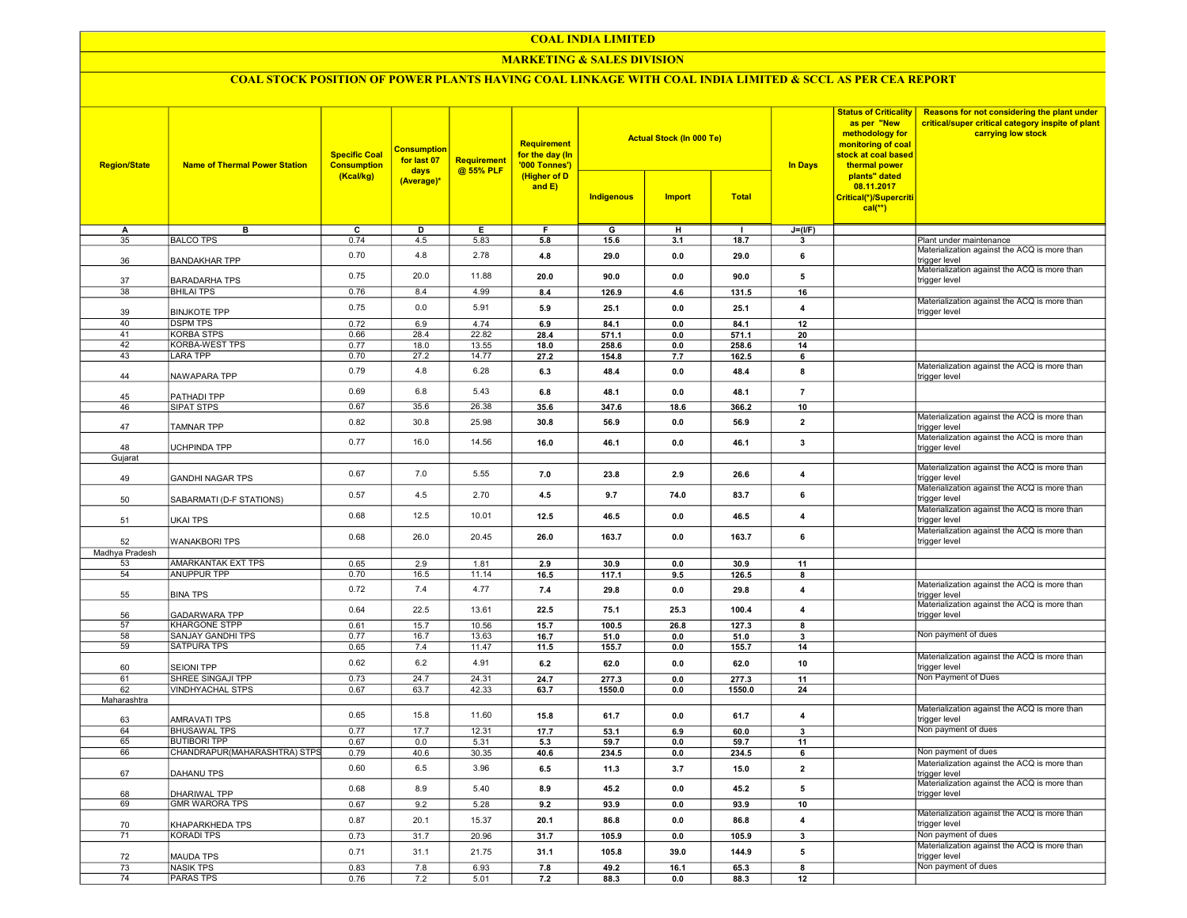### COAL INDIA LIMITED

### MARKETING & SALES DIVISION

## COAL STOCK POSITION OF POWER PLANTS HAVING COAL LINKAGE WITH COAL INDIA LIMITED & SCCL AS PER CEA REPORT

| <b>Region/State</b> | <b>Name of Thermal Power Station</b>           | <b>Actual Stock (In 000 Te)</b><br><b>Requirement</b><br><b>Consumption</b><br><b>Specific Coal</b><br>for the day (In<br>for last 07<br><b>Requirement</b><br><b>Consumption</b><br>'000 Tonnes')<br>@ 55% PLF<br>days<br>(Higher of D<br>(Kcal/kg)<br>(Average)*<br>and $E$ ) |              |                |              |                 | <b>In Days</b> | <b>Status of Criticality</b><br>as per "New<br>methodology for<br>monitoring of coal<br>stock at coal based<br>thermal power<br>plants" dated<br>08.11.2017 | Reasons for not considering the plant under<br>critical/super critical category inspite of plant<br>carrying low stock |                                     |                                                                     |
|---------------------|------------------------------------------------|---------------------------------------------------------------------------------------------------------------------------------------------------------------------------------------------------------------------------------------------------------------------------------|--------------|----------------|--------------|-----------------|----------------|-------------------------------------------------------------------------------------------------------------------------------------------------------------|------------------------------------------------------------------------------------------------------------------------|-------------------------------------|---------------------------------------------------------------------|
|                     |                                                |                                                                                                                                                                                                                                                                                 |              |                |              | Indigenous      | <b>Import</b>  | <b>Total</b>                                                                                                                                                |                                                                                                                        | Critical(*)/Supercriti<br>$cal(**)$ |                                                                     |
| A                   | в                                              | C                                                                                                                                                                                                                                                                               | D            | Е.             | F            | G               | н              | п.                                                                                                                                                          | $J=(I/F)$                                                                                                              |                                     |                                                                     |
| 35                  | <b>BALCO TPS</b>                               | 0.74                                                                                                                                                                                                                                                                            | 4.5          | 5.83           | 5.8          | 15.6            | 3.1            | 18.7                                                                                                                                                        | 3                                                                                                                      |                                     | Plant under maintenance                                             |
| 36                  | <b>BANDAKHAR TPP</b>                           | 0.70                                                                                                                                                                                                                                                                            | 4.8          | 2.78           | 4.8          | 29.0            | 0.0            | 29.0                                                                                                                                                        | 6                                                                                                                      |                                     | Materialization against the ACQ is more than<br>trigger level       |
| 37                  | <b>BARADARHA TPS</b>                           | 0.75                                                                                                                                                                                                                                                                            | 20.0         | 11.88          | 20.0         | 90.0            | 0.0            | 90.0                                                                                                                                                        | 5                                                                                                                      |                                     | Materialization against the ACQ is more than<br>trigger level       |
| $\overline{38}$     | <b>BHILAI TPS</b>                              | 0.76                                                                                                                                                                                                                                                                            | 8.4          | 4.99           | 8.4          | 126.9           | 4.6            | 131.5                                                                                                                                                       | 16                                                                                                                     |                                     | Materialization against the ACQ is more than                        |
| 39                  | <b>BINJKOTE TPP</b>                            | 0.75                                                                                                                                                                                                                                                                            | 0.0          | 5.91           | 5.9          | 25.1            | 0.0            | 25.1                                                                                                                                                        | $\overline{4}$                                                                                                         |                                     | trigger level                                                       |
| 40                  | <b>DSPM TPS</b>                                | 0.72                                                                                                                                                                                                                                                                            | 6.9          | 4.74           | 6.9          | 84.1            | 0.0            | 84.1                                                                                                                                                        | 12                                                                                                                     |                                     |                                                                     |
| 41<br>42            | <b>KORBA STPS</b><br><b>KORBA-WEST TPS</b>     | 0.66<br>0.77                                                                                                                                                                                                                                                                    | 28.4<br>18.0 | 22.82<br>13.55 | 28.4<br>18.0 | 571.1<br>258.6  | 0.0<br>0.0     | 571.1<br>258.6                                                                                                                                              | 20<br>14                                                                                                               |                                     |                                                                     |
| 43                  | <b>LARA TPP</b>                                | 0.70                                                                                                                                                                                                                                                                            | 27.2         | 14.77          | 27.2         | 154.8           | 7.7            | 162.5                                                                                                                                                       | 6                                                                                                                      |                                     |                                                                     |
| 44                  | NAWAPARA TPP                                   | 0.79                                                                                                                                                                                                                                                                            | 4.8          | 6.28           | 6.3          | 48.4            | 0.0            | 48.4                                                                                                                                                        | 8                                                                                                                      |                                     | Materialization against the ACQ is more than<br>trigger level       |
| 45                  | PATHADI TPP                                    | 0.69                                                                                                                                                                                                                                                                            | 6.8          | 5.43           | 6.8          | 48.1            | 0.0            | 48.1                                                                                                                                                        | $\overline{7}$                                                                                                         |                                     |                                                                     |
| 46                  | SIPAT STPS                                     | 0.67                                                                                                                                                                                                                                                                            | 35.6         | 26.38          | 35.6         | 347.6           | 18.6           | 366.2                                                                                                                                                       | 10                                                                                                                     |                                     |                                                                     |
| 47                  | <b>TAMNAR TPP</b>                              | 0.82                                                                                                                                                                                                                                                                            | 30.8         | 25.98          | 30.8         | 56.9            | 0.0            | 56.9                                                                                                                                                        | $\overline{2}$                                                                                                         |                                     | Materialization against the ACQ is more than<br>trigger level       |
| 48                  | UCHPINDA TPP                                   | 0.77                                                                                                                                                                                                                                                                            | 16.0         | 14.56          | 16.0         | 46.1            | 0.0            | 46.1                                                                                                                                                        | 3                                                                                                                      |                                     | Materialization against the ACQ is more than<br>trigger level       |
| Gujarat             |                                                |                                                                                                                                                                                                                                                                                 |              |                |              |                 |                |                                                                                                                                                             |                                                                                                                        |                                     |                                                                     |
| 49                  | <b>GANDHI NAGAR TPS</b>                        | 0.67                                                                                                                                                                                                                                                                            | 7.0          | 5.55           | 7.0          | 23.8            | 2.9            | 26.6                                                                                                                                                        | $\overline{\mathbf{4}}$                                                                                                |                                     | Materialization against the ACQ is more than<br>trigger level       |
| 50                  | SABARMATI (D-F STATIONS)                       | 0.57                                                                                                                                                                                                                                                                            | 4.5          | 2.70           | 4.5          | 9.7             | 74.0           | 83.7                                                                                                                                                        | 6                                                                                                                      |                                     | Materialization against the ACQ is more than<br>trigger level       |
| 51                  | <b>UKAI TPS</b>                                | 0.68                                                                                                                                                                                                                                                                            | 12.5         | 10.01          | 12.5         | 46.5            | 0.0            | 46.5                                                                                                                                                        | $\overline{\mathbf{4}}$                                                                                                |                                     | Materialization against the ACQ is more than<br>trigger level       |
| 52                  | <b>WANAKBORI TPS</b>                           | 0.68                                                                                                                                                                                                                                                                            | 26.0         | 20.45          | 26.0         | 163.7           | 0.0            | 163.7                                                                                                                                                       | 6                                                                                                                      |                                     | Materialization against the ACQ is more than<br>trigger level       |
| Madhya Pradesh      |                                                |                                                                                                                                                                                                                                                                                 |              |                |              |                 |                |                                                                                                                                                             |                                                                                                                        |                                     |                                                                     |
| 53                  | AMARKANTAK EXT TPS                             | 0.65                                                                                                                                                                                                                                                                            | 2.9          | 1.81           | 2.9          | 30.9            | 0.0            | 30.9                                                                                                                                                        | 11                                                                                                                     |                                     |                                                                     |
| 54                  | ANUPPUR TPP                                    | 0.70                                                                                                                                                                                                                                                                            | 16.5         | 11.14          | 16.5         | 117.1           | 9.5            | 126.5                                                                                                                                                       | 8                                                                                                                      |                                     |                                                                     |
| 55                  | <b>BINA TPS</b>                                | 0.72                                                                                                                                                                                                                                                                            | 7.4          | 4.77           | 7.4          | 29.8            | 0.0            | 29.8                                                                                                                                                        | $\overline{\mathbf{4}}$                                                                                                |                                     | Materialization against the ACQ is more than<br>trigger level       |
| 56                  | <b>GADARWARA TPP</b>                           | 0.64                                                                                                                                                                                                                                                                            | 22.5         | 13.61          | 22.5         | 75.1            | 25.3           | 100.4                                                                                                                                                       | $\overline{\mathbf{4}}$                                                                                                |                                     | Materialization against the ACQ is more than<br>trigger level       |
| 57<br>58            | <b>KHARGONE STPP</b>                           | 0.61                                                                                                                                                                                                                                                                            | 15.7         | 10.56          | 15.7         | 100.5           | 26.8           | 127.3                                                                                                                                                       | 8                                                                                                                      |                                     | Non payment of dues                                                 |
| 59                  | <b>SANJAY GANDHI TPS</b><br><b>SATPURA TPS</b> | 0.77                                                                                                                                                                                                                                                                            | 16.7         | 13.63          | 16.7         | 51.0            | 0.0            | 51.0                                                                                                                                                        | 3                                                                                                                      |                                     |                                                                     |
|                     |                                                | 0.65<br>0.62                                                                                                                                                                                                                                                                    | 7.4<br>6.2   | 11.47<br>4.91  | 11.5<br>6.2  | 155.7<br>62.0   | 0.0<br>0.0     | 155.7<br>62.0                                                                                                                                               | 14<br>10                                                                                                               |                                     | Materialization against the ACQ is more than                        |
| 60<br>61            | <b>SEIONI TPP</b><br><b>SHREE SINGAJI TPP</b>  | 0.73                                                                                                                                                                                                                                                                            | 24.7         | 24.31          |              |                 |                |                                                                                                                                                             |                                                                                                                        |                                     | trigger level<br>Non Payment of Dues                                |
| 62                  | <b>VINDHYACHAL STPS</b>                        | 0.67                                                                                                                                                                                                                                                                            | 63.7         | 42.33          | 24.7<br>63.7 | 277.3<br>1550.0 | 0.0<br>0.0     | 277.3<br>1550.0                                                                                                                                             | 11<br>24                                                                                                               |                                     |                                                                     |
| Maharashtra         |                                                |                                                                                                                                                                                                                                                                                 |              |                |              |                 |                |                                                                                                                                                             |                                                                                                                        |                                     |                                                                     |
| 63                  | AMRAVATI TPS                                   | 0.65                                                                                                                                                                                                                                                                            | 15.8         | 11.60          | 15.8         | 61.7            | 0.0            | 61.7                                                                                                                                                        | $\overline{\mathbf{4}}$                                                                                                |                                     | Materialization against the ACQ is more than<br>trigger level       |
| 64                  | <b>BHUSAWAL TPS</b>                            | 0.77                                                                                                                                                                                                                                                                            | 17.7         | 12.31          | 17.7         | 53.1            | 6.9            | 60.0                                                                                                                                                        | 3                                                                                                                      |                                     | Non payment of dues                                                 |
| 65                  | <b>BUTIBORI TPP</b>                            | 0.67                                                                                                                                                                                                                                                                            | 0.0          | 5.31           | 5.3          | 59.7            | 0.0            | 59.7                                                                                                                                                        | 11                                                                                                                     |                                     |                                                                     |
| 66                  | CHANDRAPUR(MAHARASHTRA) STPS                   | 0.79                                                                                                                                                                                                                                                                            | 40.6         | 30.35          | 40.6         | 234.5           | 0.0            | 234.5                                                                                                                                                       | 6                                                                                                                      |                                     | Non payment of dues                                                 |
| 67                  | <b>DAHANU TPS</b>                              | 0.60                                                                                                                                                                                                                                                                            | 6.5          | 3.96           | 6.5          | 11.3            | 3.7            | 15.0                                                                                                                                                        | $\overline{\mathbf{2}}$                                                                                                |                                     | Materialization against the ACQ is more than<br>trigger level       |
| 68                  | DHARIWAL TPP                                   | 0.68                                                                                                                                                                                                                                                                            | 8.9          | 5.40           | 8.9          | 45.2            | 0.0            | 45.2                                                                                                                                                        | 5                                                                                                                      |                                     | Materialization against the ACQ is more than<br>trigger level       |
| 69                  | <b>GMR WARORA TPS</b>                          | 0.67                                                                                                                                                                                                                                                                            | 9.2          | 5.28           | 9.2          | 93.9            | 0.0            | 93.9                                                                                                                                                        | 10                                                                                                                     |                                     | Materialization against the ACQ is more than                        |
| 70                  | KHAPARKHEDA TPS                                | 0.87                                                                                                                                                                                                                                                                            | 20.1         | 15.37          | 20.1         | 86.8            | 0.0            | 86.8                                                                                                                                                        | $\overline{4}$                                                                                                         |                                     | trigger level                                                       |
| 71                  | <b>KORADI TPS</b>                              | 0.73                                                                                                                                                                                                                                                                            | 31.7         | 20.96          | 31.7         | 105.9           | 0.0            | 105.9                                                                                                                                                       | $\overline{\mathbf{3}}$                                                                                                |                                     | Non payment of dues<br>Materialization against the ACQ is more than |
| 72                  | <b>MAUDA TPS</b>                               | 0.71                                                                                                                                                                                                                                                                            | 31.1         | 21.75          | 31.1         | 105.8           | 39.0           | 144.9                                                                                                                                                       | 5                                                                                                                      |                                     | trigger level                                                       |
| 73                  | <b>NASIK TPS</b>                               | 0.83                                                                                                                                                                                                                                                                            | 7.8          | 6.93           | 7.8          | 49.2            | 16.1           | 65.3                                                                                                                                                        | $\overline{\mathbf{8}}$                                                                                                |                                     | Non payment of dues                                                 |
| 74                  | <b>PARAS TPS</b>                               | 0.76                                                                                                                                                                                                                                                                            | 7.2          | 5.01           | $7.2$        | 88.3            | 0.0            | 88.3                                                                                                                                                        | 12                                                                                                                     |                                     |                                                                     |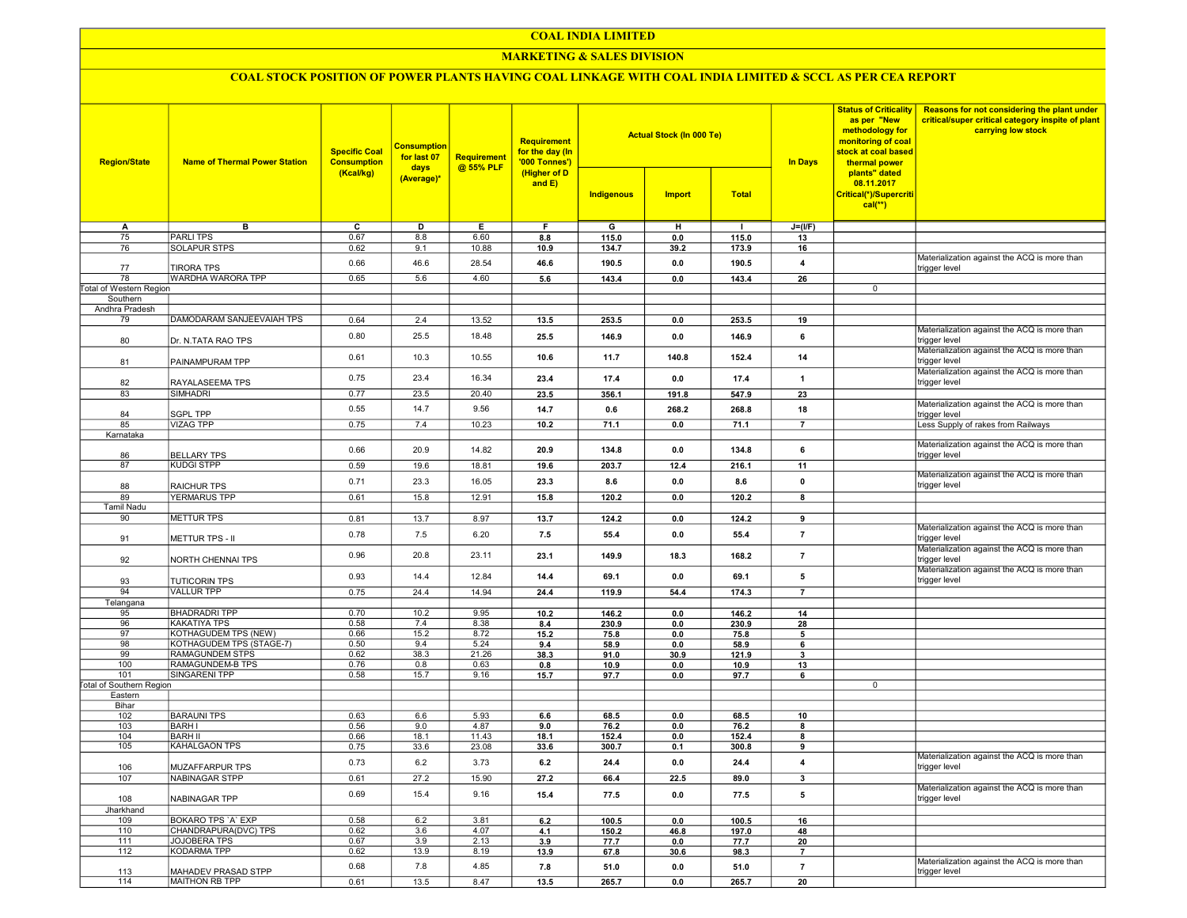## COAL INDIA LIMITED

## **MARKETING & SALES DIVISION**

# COAL STOCK POSITION OF POWER PLANTS HAVING COAL LINKAGE WITH COAL INDIA LIMITED & SCCL AS PER CEA REPORT

| <b>Region/State</b>             | <b>Name of Thermal Power Station</b>             | <b>Specific Coal</b><br><b>Consumption</b><br>(Kcal/kg) | <b>Consumption</b><br>for last 07<br>days<br>(Average)* | Requirement<br>@ 55% PLF | <b>Requirement</b><br>for the day (In<br>'000 Tonnes')<br>(Higher of D<br>and E) |              | <b>Actual Stock (In 000 Te)</b> |              | <b>In Days</b>          | <b>Status of Criticality</b><br>as per "New<br>methodology for<br>monitoring of coal<br>stock at coal based<br>thermal power<br>plants" dated<br>08.11.2017 | Reasons for not considering the plant under<br>critical/super critical category inspite of plant<br>carrying low stock |
|---------------------------------|--------------------------------------------------|---------------------------------------------------------|---------------------------------------------------------|--------------------------|----------------------------------------------------------------------------------|--------------|---------------------------------|--------------|-------------------------|-------------------------------------------------------------------------------------------------------------------------------------------------------------|------------------------------------------------------------------------------------------------------------------------|
|                                 |                                                  |                                                         |                                                         |                          |                                                                                  | Indigenous   | <b>Import</b>                   | <b>Total</b> |                         | Critical(*)/Supercriti<br>$cal$ (**)                                                                                                                        |                                                                                                                        |
| Α                               | в                                                | c                                                       | D                                                       | Е                        | F.                                                                               | G            | н                               | $\mathbf{I}$ | $J=(I/F)$               |                                                                                                                                                             |                                                                                                                        |
| 75                              | <b>PARLITPS</b>                                  | 0.67                                                    | 8.8                                                     | 6.60                     | 8.8                                                                              | 115.0        | 0.0                             | 115.0        | 13                      |                                                                                                                                                             |                                                                                                                        |
| 76                              | <b>SOLAPUR STPS</b>                              | 0.62                                                    | 9.1                                                     | 10.88                    | 10.9                                                                             | 134.7        | 39.2                            | 173.9        | 16                      |                                                                                                                                                             |                                                                                                                        |
| 77                              | <b>TIRORA TPS</b>                                | 0.66                                                    | 46.6                                                    | 28.54                    | 46.6                                                                             | 190.5        | 0.0                             | 190.5        | 4                       |                                                                                                                                                             | Materialization against the ACQ is more than<br>trigger level                                                          |
| 78                              | WARDHA WARORA TPP                                | 0.65                                                    | 5.6                                                     | 4.60                     | 5.6                                                                              | 143.4        | 0.0                             | 143.4        | 26                      |                                                                                                                                                             |                                                                                                                        |
| <b>Total of Western Region</b>  |                                                  |                                                         |                                                         |                          |                                                                                  |              |                                 |              |                         | $\mathbf 0$                                                                                                                                                 |                                                                                                                        |
| Southern<br>Andhra Pradesh      |                                                  |                                                         |                                                         |                          |                                                                                  |              |                                 |              |                         |                                                                                                                                                             |                                                                                                                        |
| 79                              | DAMODARAM SANJEEVAIAH TPS                        | 0.64                                                    | 2.4                                                     | 13.52                    | 13.5                                                                             | 253.5        | 0.0                             | 253.5        | 19                      |                                                                                                                                                             |                                                                                                                        |
|                                 |                                                  |                                                         |                                                         |                          |                                                                                  |              |                                 |              |                         |                                                                                                                                                             | Materialization against the ACQ is more than                                                                           |
| 80                              | Dr. N.TATA RAO TPS                               | 0.80                                                    | 25.5                                                    | 18.48                    | 25.5                                                                             | 146.9        | 0.0                             | 146.9        | 6                       |                                                                                                                                                             | trigger level<br>Materialization against the ACQ is more than                                                          |
| 81                              | PAINAMPURAM TPP                                  | 0.61                                                    | 10.3                                                    | 10.55                    | 10.6                                                                             | 11.7         | 140.8                           | 152.4        | 14                      |                                                                                                                                                             | trigger level                                                                                                          |
| 82                              | RAYALASEEMA TPS                                  | 0.75                                                    | 23.4                                                    | 16.34                    | 23.4                                                                             | 17.4         | 0.0                             | 17.4         | $\overline{\mathbf{1}}$ |                                                                                                                                                             | Materialization against the ACQ is more than<br>trigger level                                                          |
| 83                              | SIMHADRI                                         | 0.77                                                    | 23.5                                                    | 20.40                    | 23.5                                                                             | 356.1        | 191.8                           | 547.9        | 23                      |                                                                                                                                                             |                                                                                                                        |
| 84                              | <b>SGPL TPP</b>                                  | 0.55                                                    | 14.7                                                    | 9.56                     | 14.7                                                                             | 0.6          | 268.2                           | 268.8        | 18                      |                                                                                                                                                             | Materialization against the ACQ is more than<br>trigger level                                                          |
| 85                              | <b>VIZAG TPP</b>                                 | 0.75                                                    | 7.4                                                     | 10.23                    | 10.2                                                                             | 71.1         | 0.0                             | 71.1         | $\overline{7}$          |                                                                                                                                                             | Less Supply of rakes from Railways                                                                                     |
| Karnataka                       |                                                  | 0.66                                                    | 20.9                                                    | 14.82                    |                                                                                  |              |                                 |              |                         |                                                                                                                                                             | Materialization against the ACQ is more than                                                                           |
| 86                              | <b>BELLARY TPS</b>                               |                                                         |                                                         |                          | 20.9                                                                             | 134.8        | 0.0                             | 134.8        | 6                       |                                                                                                                                                             | trigger level                                                                                                          |
| 87                              | <b>KUDGI STPP</b>                                | 0.59                                                    | 19.6                                                    | 18.81                    | 19.6                                                                             | 203.7        | 12.4                            | 216.1        | 11                      |                                                                                                                                                             | Materialization against the ACQ is more than                                                                           |
| 88                              | <b>RAICHUR TPS</b>                               | 0.71                                                    | 23.3                                                    | 16.05                    | 23.3                                                                             | 8.6          | 0.0                             | 8.6          | $\pmb{0}$               |                                                                                                                                                             | trigger level                                                                                                          |
| 89                              | <b>YERMARUS TPP</b>                              | 0.61                                                    | 15.8                                                    | 12.91                    | 15.8                                                                             | 120.2        | 0.0                             | 120.2        | 8                       |                                                                                                                                                             |                                                                                                                        |
| <b>Tamil Nadu</b>               |                                                  |                                                         |                                                         |                          |                                                                                  |              |                                 |              |                         |                                                                                                                                                             |                                                                                                                        |
| 90                              | <b>METTUR TPS</b>                                | 0.81                                                    | 13.7                                                    | 8.97                     | 13.7                                                                             | 124.2        | 0.0                             | 124.2        | 9                       |                                                                                                                                                             |                                                                                                                        |
| 91                              | <b>METTUR TPS - II</b>                           | 0.78                                                    | 7.5                                                     | 6.20                     | 7.5                                                                              | 55.4         | 0.0                             | 55.4         | $\overline{7}$          |                                                                                                                                                             | Materialization against the ACQ is more than<br>trigger level                                                          |
| 92                              | NORTH CHENNAI TPS                                | 0.96                                                    | 20.8                                                    | 23.11                    | 23.1                                                                             | 149.9        | 18.3                            | 168.2        | $\overline{7}$          |                                                                                                                                                             | Materialization against the ACQ is more than<br>trigger level                                                          |
| 93                              | <b>TUTICORIN TPS</b>                             | 0.93                                                    | 14.4                                                    | 12.84                    | 14.4                                                                             | 69.1         | 0.0                             | 69.1         | 5                       |                                                                                                                                                             | Materialization against the ACQ is more than<br>trigger level                                                          |
| 94                              | <b>VALLUR TPP</b>                                | 0.75                                                    | 24.4                                                    | 14.94                    | 24.4                                                                             | 119.9        | 54.4                            | 174.3        | $\overline{7}$          |                                                                                                                                                             |                                                                                                                        |
| Telangana                       |                                                  |                                                         |                                                         |                          |                                                                                  |              |                                 |              |                         |                                                                                                                                                             |                                                                                                                        |
| 95                              | <b>BHADRADRI TPP</b>                             | 0.70                                                    | 10.2                                                    | 9.95                     | 10.2                                                                             | 146.2        | 0.0                             | 146.2        | 14                      |                                                                                                                                                             |                                                                                                                        |
| 96                              | <b>KAKATIYA TPS</b>                              | 0.58                                                    | 7.4                                                     | 8.38                     | 8.4                                                                              | 230.9        | 0.0                             | 230.9        | 28                      |                                                                                                                                                             |                                                                                                                        |
| 97<br>98                        | KOTHAGUDEM TPS (NEW)<br>KOTHAGUDEM TPS (STAGE-7) | 0.66<br>0.50                                            | 15.2<br>9.4                                             | 8.72<br>5.24             | 15.2                                                                             | 75.8<br>58.9 | 0.0<br>0.0                      | 75.8<br>58.9 | 5                       |                                                                                                                                                             |                                                                                                                        |
| 99                              | RAMAGUNDEM STPS                                  | 0.62                                                    | 38.3                                                    | 21.26                    | 9.4<br>38.3                                                                      | 91.0         | 30.9                            | 121.9        | 6<br>3                  |                                                                                                                                                             |                                                                                                                        |
| 100                             | RAMAGUNDEM-B TPS                                 | 0.76                                                    | 0.8                                                     | 0.63                     | 0.8                                                                              | 10.9         | 0.0                             | 10.9         | 13                      |                                                                                                                                                             |                                                                                                                        |
| 101                             | SINGARENI TPP                                    | 0.58                                                    | 15.7                                                    | 9.16                     | 15.7                                                                             | 97.7         | 0.0                             | 97.7         | 6                       |                                                                                                                                                             |                                                                                                                        |
| <b>Total of Southern Region</b> |                                                  |                                                         |                                                         |                          |                                                                                  |              |                                 |              |                         | 0                                                                                                                                                           |                                                                                                                        |
| Eastern                         |                                                  |                                                         |                                                         |                          |                                                                                  |              |                                 |              |                         |                                                                                                                                                             |                                                                                                                        |
| Bihar<br>102                    | <b>BARAUNI TPS</b>                               | 0.63                                                    | 6.6                                                     | 5.93                     | 6.6                                                                              | 68.5         | 0.0                             | 68.5         | 10                      |                                                                                                                                                             |                                                                                                                        |
| 103                             | <b>BARHI</b>                                     | 0.56                                                    | 9.0                                                     | 4.87                     | 9.0                                                                              | 76.2         | 0.0                             | 76.2         | 8                       |                                                                                                                                                             |                                                                                                                        |
| 104                             | <b>BARH II</b>                                   | 0.66                                                    | 18.1                                                    | 11.43                    | 18.1                                                                             | 152.4        | 0.0                             | 152.4        | 8                       |                                                                                                                                                             |                                                                                                                        |
| 105                             | KAHALGAON TPS                                    | 0.75                                                    | 33.6                                                    | 23.08                    | 33.6                                                                             | 300.7        | 0.1                             | 300.8        | 9                       |                                                                                                                                                             |                                                                                                                        |
| 106                             | <b>MUZAFFARPUR TPS</b>                           | 0.73                                                    | 6.2                                                     | 3.73                     | 6.2                                                                              | 24.4         | 0.0                             | 24.4         | 4                       |                                                                                                                                                             | Materialization against the ACQ is more than<br>trigger level                                                          |
| 107                             | NABINAGAR STPP                                   | 0.61                                                    | 27.2                                                    | 15.90                    | 27.2                                                                             | 66.4         | 22.5                            | 89.0         | 3                       |                                                                                                                                                             |                                                                                                                        |
| 108                             | NABINAGAR TPP                                    | 0.69                                                    | 15.4                                                    | 9.16                     | 15.4                                                                             | 77.5         | 0.0                             | 77.5         | 5                       |                                                                                                                                                             | Materialization against the ACQ is more than<br>trigger level                                                          |
| Jharkhand                       |                                                  |                                                         |                                                         |                          |                                                                                  |              |                                 |              |                         |                                                                                                                                                             |                                                                                                                        |
| 109                             | BOKARO TPS 'A' EXP                               | 0.58                                                    | 6.2                                                     | 3.81                     | 6.2                                                                              | 100.5        | 0.0                             | 100.5        | 16                      |                                                                                                                                                             |                                                                                                                        |
| 110                             | CHANDRAPURA(DVC) TPS                             | 0.62                                                    | 3.6                                                     | 4.07                     | 4.1                                                                              | 150.2        | 46.8                            | 197.0        | 48                      |                                                                                                                                                             |                                                                                                                        |
| 111<br>112                      | JOJOBERA TPS<br><b>KODARMA TPP</b>               | 0.67<br>0.62                                            | 3.9<br>13.9                                             | 2.13<br>8.19             | 3.9<br>13.9                                                                      | 77.7         | 0.0                             | 77.7         | 20<br>$\overline{7}$    |                                                                                                                                                             |                                                                                                                        |
|                                 |                                                  | 0.68                                                    | 7.8                                                     | 4.85                     | 7.8                                                                              | 67.8<br>51.0 | 30.6<br>0.0                     | 98.3<br>51.0 | $\overline{7}$          |                                                                                                                                                             | Materialization against the ACQ is more than                                                                           |
| 113<br>114                      | MAHADEV PRASAD STPP<br>MAITHON RB TPP            | 0.61                                                    | 13.5                                                    | 8.47                     | 13.5                                                                             | 265.7        | 0.0                             | 265.7        | 20                      |                                                                                                                                                             | trigger level                                                                                                          |
|                                 |                                                  |                                                         |                                                         |                          |                                                                                  |              |                                 |              |                         |                                                                                                                                                             |                                                                                                                        |